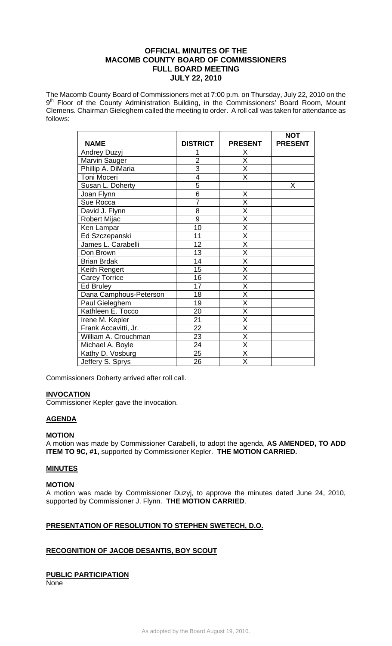### **OFFICIAL MINUTES OF THE MACOMB COUNTY BOARD OF COMMISSIONERS FULL BOARD MEETING JULY 22, 2010**

The Macomb County Board of Commissioners met at 7:00 p.m. on Thursday, July 22, 2010 on the 9<sup>th</sup> Floor of the County Administration Building, in the Commissioners' Board Room, Mount Clemens. Chairman Gieleghem called the meeting to order. A roll call was taken for attendance as follows:

| <b>NAME</b>            | <b>DISTRICT</b> | <b>PRESENT</b>          | <b>NOT</b><br><b>PRESENT</b> |
|------------------------|-----------------|-------------------------|------------------------------|
| Andrey Duzyj           | 1               | Χ                       |                              |
| Marvin Sauger          | $\overline{2}$  | X                       |                              |
| Phillip A. DiMaria     | $\overline{3}$  | X                       |                              |
| Toni Moceri            | $\overline{4}$  | $\overline{\mathsf{x}}$ |                              |
|                        | 5               |                         | Χ                            |
| Susan L. Doherty       |                 |                         |                              |
| Joan Flynn             | 6               | Χ                       |                              |
| Sue Rocca              | $\overline{7}$  | $\overline{\mathsf{x}}$ |                              |
| David J. Flynn         | 8               | $\overline{\mathsf{x}}$ |                              |
| Robert Mijac           | $\overline{9}$  | $\overline{\mathsf{x}}$ |                              |
| Ken Lampar             | 10              | X                       |                              |
| Ed Szczepanski         | 11              | X                       |                              |
| James L. Carabelli     | 12              | X                       |                              |
| Don Brown              | 13              | X                       |                              |
| <b>Brian Brdak</b>     | 14              | $\overline{\mathsf{x}}$ |                              |
| Keith Rengert          | 15              | $\overline{\mathsf{x}}$ |                              |
| <b>Carey Torrice</b>   | 16              | X                       |                              |
| Ed Bruley              | 17              | $\overline{\mathsf{x}}$ |                              |
| Dana Camphous-Peterson | 18              | $\overline{\mathsf{x}}$ |                              |
| Paul Gieleghem         | 19              | Χ                       |                              |
| Kathleen E. Tocco      | 20              | X                       |                              |
| Irene M. Kepler        | 21              | $\overline{\mathsf{x}}$ |                              |
| Frank Accavitti, Jr.   | 22              | X                       |                              |
| William A. Crouchman   | 23              | X                       |                              |
| Michael A. Boyle       | 24              | $\overline{\mathsf{x}}$ |                              |
| Kathy D. Vosburg       | 25              | $\overline{\mathsf{x}}$ |                              |
| Jeffery S. Sprys       | 26              | $\overline{\mathsf{x}}$ |                              |

Commissioners Doherty arrived after roll call.

#### **INVOCATION**

Commissioner Kepler gave the invocation.

#### **AGENDA**

#### **MOTION**

A motion was made by Commissioner Carabelli, to adopt the agenda, **AS AMENDED, TO ADD ITEM TO 9C, #1,** supported by Commissioner Kepler. **THE MOTION CARRIED.** 

#### **MINUTES**

#### **MOTION**

A motion was made by Commissioner Duzyj, to approve the minutes dated June 24, 2010, supported by Commissioner J. Flynn. **THE MOTION CARRIED**.

### **PRESENTATION OF RESOLUTION TO STEPHEN SWETECH, D.O.**

#### **RECOGNITION OF JACOB DESANTIS, BOY SCOUT**

#### **PUBLIC PARTICIPATION**

None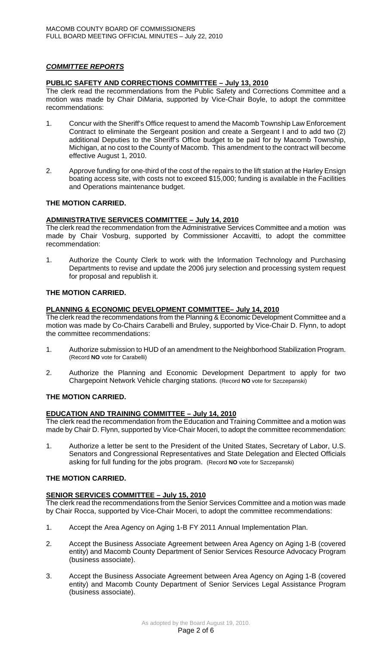### *COMMITTEE REPORTS*

### **PUBLIC SAFETY AND CORRECTIONS COMMITTEE – July 13, 2010**

The clerk read the recommendations from the Public Safety and Corrections Committee and a motion was made by Chair DiMaria, supported by Vice-Chair Boyle, to adopt the committee recommendations:

- 1. Concur with the Sheriff's Office request to amend the Macomb Township Law Enforcement Contract to eliminate the Sergeant position and create a Sergeant I and to add two (2) additional Deputies to the Sheriff's Office budget to be paid for by Macomb Township, Michigan, at no cost to the County of Macomb. This amendment to the contract will become effective August 1, 2010.
- 2. Approve funding for one-third of the cost of the repairs to the lift station at the Harley Ensign boating access site, with costs not to exceed \$15,000; funding is available in the Facilities and Operations maintenance budget.

### **THE MOTION CARRIED.**

# **ADMINISTRATIVE SERVICES COMMITTEE – July 14, 2010**

The clerk read the recommendation from the Administrative Services Committee and a motion was made by Chair Vosburg, supported by Commissioner Accavitti, to adopt the committee recommendation:

1. Authorize the County Clerk to work with the Information Technology and Purchasing Departments to revise and update the 2006 jury selection and processing system request for proposal and republish it.

### **THE MOTION CARRIED.**

# **PLANNING & ECONOMIC DEVELOPMENT COMMITTEE– July 14, 2010**

The clerk read the recommendations from the Planning & Economic Development Committee and a motion was made by Co-Chairs Carabelli and Bruley, supported by Vice-Chair D. Flynn, to adopt the committee recommendations:

- 1. Authorize submission to HUD of an amendment to the Neighborhood Stabilization Program. (Record **NO** vote for Carabelli)
- 2. Authorize the Planning and Economic Development Department to apply for two Chargepoint Network Vehicle charging stations. (Record **NO** vote for Szczepanski)

# **THE MOTION CARRIED.**

### **EDUCATION AND TRAINING COMMITTEE – July 14, 2010**

The clerk read the recommendation from the Education and Training Committee and a motion was made by Chair D. Flynn, supported by Vice-Chair Moceri, to adopt the committee recommendation:

1. Authorize a letter be sent to the President of the United States, Secretary of Labor, U.S. Senators and Congressional Representatives and State Delegation and Elected Officials asking for full funding for the jobs program. (Record **NO** vote for Szczepanski)

### **THE MOTION CARRIED.**

### **SENIOR SERVICES COMMITTEE – July 15, 2010**

The clerk read the recommendations from the Senior Services Committee and a motion was made by Chair Rocca, supported by Vice-Chair Moceri, to adopt the committee recommendations:

- 1. Accept the Area Agency on Aging 1-B FY 2011 Annual Implementation Plan.
- 2. Accept the Business Associate Agreement between Area Agency on Aging 1-B (covered entity) and Macomb County Department of Senior Services Resource Advocacy Program (business associate).
- 3. Accept the Business Associate Agreement between Area Agency on Aging 1-B (covered entity) and Macomb County Department of Senior Services Legal Assistance Program (business associate).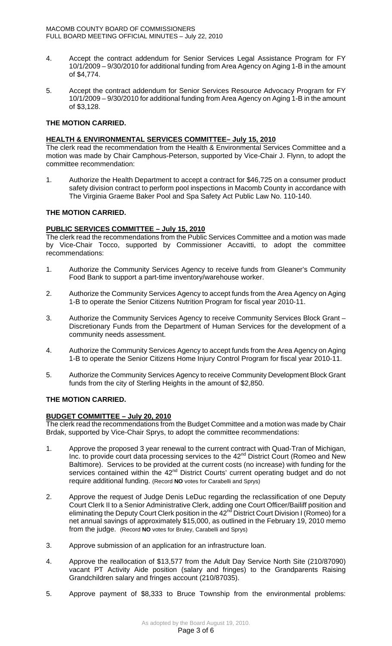- 4. Accept the contract addendum for Senior Services Legal Assistance Program for FY 10/1/2009 – 9/30/2010 for additional funding from Area Agency on Aging 1-B in the amount of \$4,774.
- 5.Accept the contract addendum for Senior Services Resource Advocacy Program for FY 10/1/2009 – 9/30/2010 for additional funding from Area Agency on Aging 1-B in the amount of \$3,128.

### **THE MOTION CARRIED.**

### **HEALTH & ENVIRONMENTAL SERVICES COMMITTEE– July 15, 2010**

The clerk read the recommendation from the Health & Environmental Services Committee and a motion was made by Chair Camphous-Peterson, supported by Vice-Chair J. Flynn, to adopt the committee recommendation:

1. Authorize the Health Department to accept a contract for \$46,725 on a consumer product safety division contract to perform pool inspections in Macomb County in accordance with The Virginia Graeme Baker Pool and Spa Safety Act Public Law No. 110-140.

# **THE MOTION CARRIED.**

### **PUBLIC SERVICES COMMITTEE – July 15, 2010**

The clerk read the recommendations from the Public Services Committee and a motion was made by Vice-Chair Tocco, supported by Commissioner Accavitti, to adopt the committee recommendations:

- 1. Authorize the Community Services Agency to receive funds from Gleaner's Community Food Bank to support a part-time inventory/warehouse worker.
- 2. Authorize the Community Services Agency to accept funds from the Area Agency on Aging 1-B to operate the Senior Citizens Nutrition Program for fiscal year 2010-11.
- 3. Authorize the Community Services Agency to receive Community Services Block Grant Discretionary Funds from the Department of Human Services for the development of a community needs assessment.
- 4. Authorize the Community Services Agency to accept funds from the Area Agency on Aging 1-B to operate the Senior Citizens Home Injury Control Program for fiscal year 2010-11.
- 5. Authorize the Community Services Agency to receive Community Development Block Grant funds from the city of Sterling Heights in the amount of \$2,850.

# **THE MOTION CARRIED.**

### **BUDGET COMMITTEE – July 20, 2010**

The clerk read the recommendations from the Budget Committee and a motion was made by Chair Brdak, supported by Vice-Chair Sprys, to adopt the committee recommendations:

- 1. Approve the proposed 3 year renewal to the current contract with Quad-Tran of Michigan, Inc. to provide court data processing services to the 42nd District Court (Romeo and New Baltimore). Services to be provided at the current costs (no increase) with funding for the services contained within the 42<sup>nd</sup> District Courts' current operating budget and do not require additional funding. (Record **NO** votes for Carabelli and Sprys)
- 2. Approve the request of Judge Denis LeDuc regarding the reclassification of one Deputy Court Clerk II to a Senior Administrative Clerk, adding one Court Officer/Bailiff position and eliminating the Deputy Court Clerk position in the 42<sup>nd</sup> District Court Division I (Romeo) for a net annual savings of approximately \$15,000, as outlined in the February 19, 2010 memo from the judge. (Record **NO** votes for Bruley, Carabelli and Sprys)
- 3. Approve submission of an application for an infrastructure loan.
- 4. Approve the reallocation of \$13,577 from the Adult Day Service North Site (210/87090) vacant PT Activity Aide position (salary and fringes) to the Grandparents Raising Grandchildren salary and fringes account (210/87035).
- 5. Approve payment of \$8,333 to Bruce Township from the environmental problems: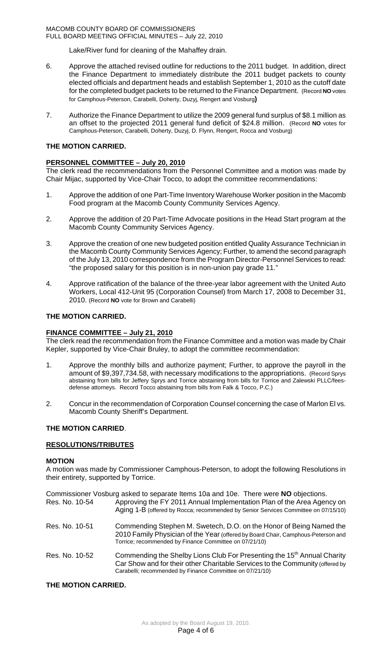#### MACOMB COUNTY BOARD OF COMMISSIONERS FULL BOARD MEETING OFFICIAL MINUTES – July 22, 2010

Lake/River fund for cleaning of the Mahaffey drain.

- 6. Approve the attached revised outline for reductions to the 2011 budget. In addition, direct the Finance Department to immediately distribute the 2011 budget packets to county elected officials and department heads and establish September 1, 2010 as the cutoff date for the completed budget packets to be returned to the Finance Department. (Record **NO** votes for Camphous-Peterson, Carabelli, Doherty, Duzyj, Rengert and Vosburg**)**
- 7. Authorize the Finance Department to utilize the 2009 general fund surplus of \$8.1 million as an offset to the projected 2011 general fund deficit of \$24.8 million. (Record **NO** votes for Camphous-Peterson, Carabelli, Doherty, Duzyj, D. Flynn, Rengert, Rocca and Vosburg)

### **THE MOTION CARRIED.**

### **PERSONNEL COMMITTEE – July 20, 2010**

The clerk read the recommendations from the Personnel Committee and a motion was made by Chair Mijac, supported by Vice-Chair Tocco, to adopt the committee recommendations:

- 1. Approve the addition of one Part-Time Inventory Warehouse Worker position in the Macomb Food program at the Macomb County Community Services Agency.
- 2. Approve the addition of 20 Part-Time Advocate positions in the Head Start program at the Macomb County Community Services Agency.
- 3. Approve the creation of one new budgeted position entitled Quality Assurance Technician in the Macomb County Community Services Agency; Further, to amend the second paragraph of the July 13, 2010 correspondence from the Program Director-Personnel Services to read: "the proposed salary for this position is in non-union pay grade 11."
- 4. Approve ratification of the balance of the three-year labor agreement with the United Auto Workers, Local 412-Unit 95 (Corporation Counsel) from March 17, 2008 to December 31, 2010. (Record **NO** vote for Brown and Carabelli)

### **THE MOTION CARRIED.**

### **FINANCE COMMITTEE – July 21, 2010**

The clerk read the recommendation from the Finance Committee and a motion was made by Chair Kepler, supported by Vice-Chair Bruley, to adopt the committee recommendation:

- 1. Approve the monthly bills and authorize payment; Further, to approve the payroll in the amount of \$9,397,734.58, with necessary modifications to the appropriations. (Record Sprys abstaining from bills for Jeffery Sprys and Torrice abstaining from bills for Torrice and Zalewski PLLC/feesdefense attorneys. Record Tocco abstaining from bills from Falk & Tocco, P.C.)
- 2. Concur in the recommendation of Corporation Counsel concerning the case of Marlon El vs. Macomb County Sheriff's Department.

### **THE MOTION CARRIED**.

#### **RESOLUTIONS/TRIBUTES**

#### **MOTION**

A motion was made by Commissioner Camphous-Peterson, to adopt the following Resolutions in their entirety, supported by Torrice.

| Res. No. 10-54 | Commissioner Vosburg asked to separate Items 10a and 10e. There were NO objections.<br>Approving the FY 2011 Annual Implementation Plan of the Area Agency on                                                                    |
|----------------|----------------------------------------------------------------------------------------------------------------------------------------------------------------------------------------------------------------------------------|
|                | Aging 1-B (offered by Rocca; recommended by Senior Services Committee on 07/15/10)                                                                                                                                               |
| Res. No. 10-51 | Commending Stephen M. Swetech, D.O. on the Honor of Being Named the<br>2010 Family Physician of the Year (offered by Board Chair, Camphous-Peterson and<br>Torrice; recommended by Finance Committee on 07/21/10)                |
| Res. No. 10-52 | Commending the Shelby Lions Club For Presenting the 15 <sup>th</sup> Annual Charity<br>Car Show and for their other Charitable Services to the Community (offered by<br>Carabelli; recommended by Finance Committee on 07/21/10) |

#### **THE MOTION CARRIED.**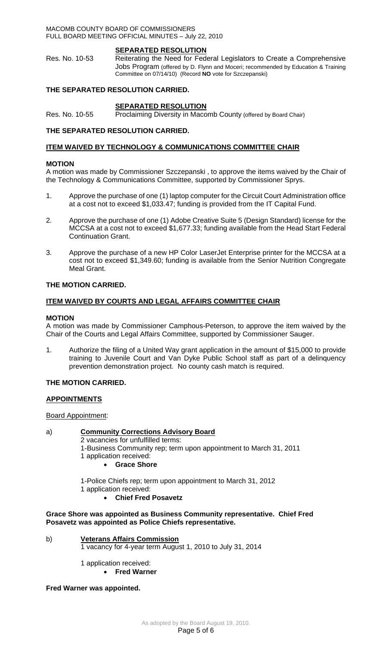#### MACOMB COUNTY BOARD OF COMMISSIONERS FULL BOARD MEETING OFFICIAL MINUTES – July 22, 2010

#### **SEPARATED RESOLUTION**

Res. No. 10-53 Reiterating the Need for Federal Legislators to Create a Comprehensive Jobs Program (offered by D. Flynn and Moceri; recommended by Education & Training Committee on 07/14/10) (Record **NO** vote for Szczepanski)

### **THE SEPARATED RESOLUTION CARRIED.**

# **SEPARATED RESOLUTION**

Res. No. 10-55 Proclaiming Diversity in Macomb County (offered by Board Chair)

### **THE SEPARATED RESOLUTION CARRIED.**

#### **ITEM WAIVED BY TECHNOLOGY & COMMUNICATIONS COMMITTEE CHAIR**

#### **MOTION**

A motion was made by Commissioner Szczepanski , to approve the items waived by the Chair of the Technology & Communications Committee, supported by Commissioner Sprys.

- 1. Approve the purchase of one (1) laptop computer for the Circuit Court Administration office at a cost not to exceed \$1,033.47; funding is provided from the IT Capital Fund.
- 2. Approve the purchase of one (1) Adobe Creative Suite 5 (Design Standard) license for the MCCSA at a cost not to exceed \$1,677.33; funding available from the Head Start Federal Continuation Grant.
- 3. Approve the purchase of a new HP Color LaserJet Enterprise printer for the MCCSA at a cost not to exceed \$1,349.60; funding is available from the Senior Nutrition Congregate Meal Grant.

### **THE MOTION CARRIED.**

#### **ITEM WAIVED BY COURTS AND LEGAL AFFAIRS COMMITTEE CHAIR**

#### **MOTION**

A motion was made by Commissioner Camphous-Peterson, to approve the item waived by the Chair of the Courts and Legal Affairs Committee, supported by Commissioner Sauger.

1. Authorize the filing of a United Way grant application in the amount of \$15,000 to provide training to Juvenile Court and Van Dyke Public School staff as part of a delinquency prevention demonstration project. No county cash match is required.

#### **THE MOTION CARRIED.**

#### **APPOINTMENTS**

Board Appointment:

#### a) **Community Corrections Advisory Board**

- 2 vacancies for unfulfilled terms:
- 1-Business Community rep; term upon appointment to March 31, 2011
- 1 application received:
	- **Grace Shore**
- 1-Police Chiefs rep; term upon appointment to March 31, 2012
- 1 application received:
	- **Chief Fred Posavetz**

#### **Grace Shore was appointed as Business Community representative. Chief Fred Posavetz was appointed as Police Chiefs representative.**

#### b) **Veterans Affairs Commission**

1 vacancy for 4-year term August 1, 2010 to July 31, 2014

1 application received:

• **Fred Warner** 

#### **Fred Warner was appointed.**